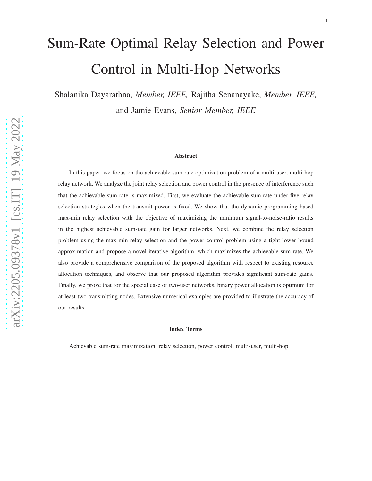# Sum-Rate Optimal Relay Selection and Power Control in Multi-Hop Networks

Shalanika Dayarathna, *Member, IEEE,* Rajitha Senanayake, *Member, IEEE,* and Jamie Evans, *Senior Member, IEEE*

#### Abstract

In this paper, we focus on the achievable sum-rate optimization problem of a multi-user, multi-hop relay network. We analyze the joint relay selection and power control in the presence of interference such that the achievable sum-rate is maximized. First, we evaluate the achievable sum-rate under five relay selection strategies when the transmit power is fixed. We show that the dynamic programming based max-min relay selection with the objective of maximizing the minimum signal-to-noise-ratio results in the highest achievable sum-rate gain for larger networks. Next, we combine the relay selection problem using the max-min relay selection and the power control problem using a tight lower bound approximation and propose a novel iterative algorithm, which maximizes the achievable sum-rate. We also provide a comprehensive comparison of the proposed algorithm with respect to existing resource allocation techniques, and observe that our proposed algorithm provides significant sum-rate gains. Finally, we prove that for the special case of two-user networks, binary power allocation is optimum for at least two transmitting nodes. Extensive numerical examples are provided to illustrate the accuracy of our results.

#### Index Terms

Achievable sum-rate maximization, relay selection, power control, multi-user, multi-hop.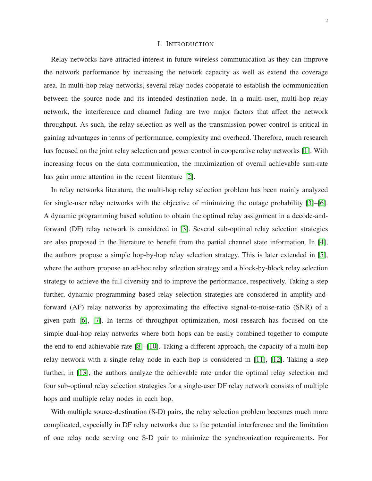## I. INTRODUCTION

Relay networks have attracted interest in future wireless communication as they can improve the network performance by increasing the network capacity as well as extend the coverage area. In multi-hop relay networks, several relay nodes cooperate to establish the communication between the source node and its intended destination node. In a multi-user, multi-hop relay network, the interference and channel fading are two major factors that affect the network throughput. As such, the relay selection as well as the transmission power control is critical in gaining advantages in terms of performance, complexity and overhead. Therefore, much research has focused on the joint relay selection and power control in cooperative relay networks [\[1\]](#page-21-0). With increasing focus on the data communication, the maximization of overall achievable sum-rate has gain more attention in the recent literature [\[2\]](#page-21-1).

In relay networks literature, the multi-hop relay selection problem has been mainly analyzed for single-user relay networks with the objective of minimizing the outage probability [\[3\]](#page-21-2)–[\[6\]](#page-22-0). A dynamic programming based solution to obtain the optimal relay assignment in a decode-andforward (DF) relay network is considered in [\[3\]](#page-21-2). Several sub-optimal relay selection strategies are also proposed in the literature to benefit from the partial channel state information. In [\[4\]](#page-21-3), the authors propose a simple hop-by-hop relay selection strategy. This is later extended in [\[5\]](#page-22-1), where the authors propose an ad-hoc relay selection strategy and a block-by-block relay selection strategy to achieve the full diversity and to improve the performance, respectively. Taking a step further, dynamic programming based relay selection strategies are considered in amplify-andforward (AF) relay networks by approximating the effective signal-to-noise-ratio (SNR) of a given path [\[6\]](#page-22-0), [\[7\]](#page-22-2). In terms of throughput optimization, most research has focused on the simple dual-hop relay networks where both hops can be easily combined together to compute the end-to-end achievable rate [\[8\]](#page-22-3)–[\[10\]](#page-22-4). Taking a different approach, the capacity of a multi-hop relay network with a single relay node in each hop is considered in [\[11\]](#page-22-5), [\[12\]](#page-22-6). Taking a step further, in [\[13\]](#page-22-7), the authors analyze the achievable rate under the optimal relay selection and four sub-optimal relay selection strategies for a single-user DF relay network consists of multiple hops and multiple relay nodes in each hop.

With multiple source-destination (S-D) pairs, the relay selection problem becomes much more complicated, especially in DF relay networks due to the potential interference and the limitation of one relay node serving one S-D pair to minimize the synchronization requirements. For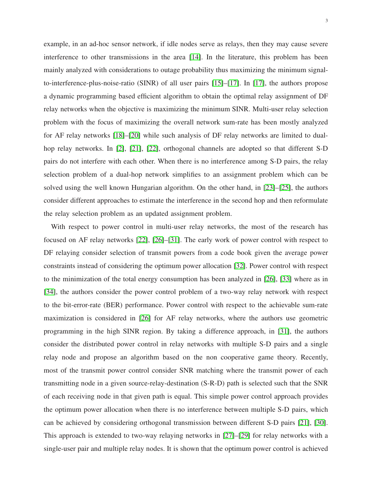3

example, in an ad-hoc sensor network, if idle nodes serve as relays, then they may cause severe interference to other transmissions in the area [\[14\]](#page-22-8). In the literature, this problem has been mainly analyzed with considerations to outage probability thus maximizing the minimum signalto-interference-plus-noise-ratio (SINR) of all user pairs [\[15\]](#page-22-9)–[\[17\]](#page-22-10). In [\[17\]](#page-22-10), the authors propose a dynamic programming based efficient algorithm to obtain the optimal relay assignment of DF relay networks when the objective is maximizing the minimum SINR. Multi-user relay selection problem with the focus of maximizing the overall network sum-rate has been mostly analyzed for AF relay networks [\[18\]](#page-22-11)–[\[20\]](#page-22-12) while such analysis of DF relay networks are limited to dualhop relay networks. In [\[2\]](#page-21-1), [\[21\]](#page-22-13), [\[22\]](#page-22-14), orthogonal channels are adopted so that different S-D pairs do not interfere with each other. When there is no interference among S-D pairs, the relay selection problem of a dual-hop network simplifies to an assignment problem which can be solved using the well known Hungarian algorithm. On the other hand, in [\[23\]](#page-22-15)–[\[25\]](#page-23-0), the authors consider different approaches to estimate the interference in the second hop and then reformulate the relay selection problem as an updated assignment problem.

With respect to power control in multi-user relay networks, the most of the research has focused on AF relay networks [\[22\]](#page-22-14), [\[26\]](#page-23-1)–[\[31\]](#page-23-2). The early work of power control with respect to DF relaying consider selection of transmit powers from a code book given the average power constraints instead of considering the optimum power allocation [\[32\]](#page-23-3). Power control with respect to the minimization of the total energy consumption has been analyzed in [\[26\]](#page-23-1), [\[33\]](#page-23-4) where as in [\[34\]](#page-23-5), the authors consider the power control problem of a two-way relay network with respect to the bit-error-rate (BER) performance. Power control with respect to the achievable sum-rate maximization is considered in [\[26\]](#page-23-1) for AF relay networks, where the authors use geometric programming in the high SINR region. By taking a difference approach, in [\[31\]](#page-23-2), the authors consider the distributed power control in relay networks with multiple S-D pairs and a single relay node and propose an algorithm based on the non cooperative game theory. Recently, most of the transmit power control consider SNR matching where the transmit power of each transmitting node in a given source-relay-destination (S-R-D) path is selected such that the SNR of each receiving node in that given path is equal. This simple power control approach provides the optimum power allocation when there is no interference between multiple S-D pairs, which can be achieved by considering orthogonal transmission between different S-D pairs [\[21\]](#page-22-13), [\[30\]](#page-23-6). This approach is extended to two-way relaying networks in [\[27\]](#page-23-7)–[\[29\]](#page-23-8) for relay networks with a single-user pair and multiple relay nodes. It is shown that the optimum power control is achieved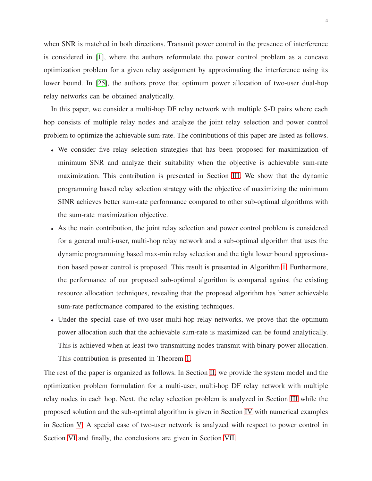when SNR is matched in both directions. Transmit power control in the presence of interference is considered in [\[1\]](#page-21-0), where the authors reformulate the power control problem as a concave optimization problem for a given relay assignment by approximating the interference using its lower bound. In [\[25\]](#page-23-0), the authors prove that optimum power allocation of two-user dual-hop relay networks can be obtained analytically.

In this paper, we consider a multi-hop DF relay network with multiple S-D pairs where each hop consists of multiple relay nodes and analyze the joint relay selection and power control problem to optimize the achievable sum-rate. The contributions of this paper are listed as follows.

- We consider five relay selection strategies that has been proposed for maximization of minimum SNR and analyze their suitability when the objective is achievable sum-rate maximization. This contribution is presented in Section [III.](#page-6-0) We show that the dynamic programming based relay selection strategy with the objective of maximizing the minimum SINR achieves better sum-rate performance compared to other sub-optimal algorithms with the sum-rate maximization objective.
- As the main contribution, the joint relay selection and power control problem is considered for a general multi-user, multi-hop relay network and a sub-optimal algorithm that uses the dynamic programming based max-min relay selection and the tight lower bound approximation based power control is proposed. This result is presented in Algorithm [1.](#page-12-0) Furthermore, the performance of our proposed sub-optimal algorithm is compared against the existing resource allocation techniques, revealing that the proposed algorithm has better achievable sum-rate performance compared to the existing techniques.
- Under the special case of two-user multi-hop relay networks, we prove that the optimum power allocation such that the achievable sum-rate is maximized can be found analytically. This is achieved when at least two transmitting nodes transmit with binary power allocation. This contribution is presented in Theorem [1.](#page-18-0)

The rest of the paper is organized as follows. In Section [II,](#page-4-0) we provide the system model and the optimization problem formulation for a multi-user, multi-hop DF relay network with multiple relay nodes in each hop. Next, the relay selection problem is analyzed in Section [III](#page-6-0) while the proposed solution and the sub-optimal algorithm is given in Section [IV](#page-10-0) with numerical examples in Section [V.](#page-13-0) A special case of two-user network is analyzed with respect to power control in Section [VI](#page-16-0) and finally, the conclusions are given in Section [VII.](#page-19-0)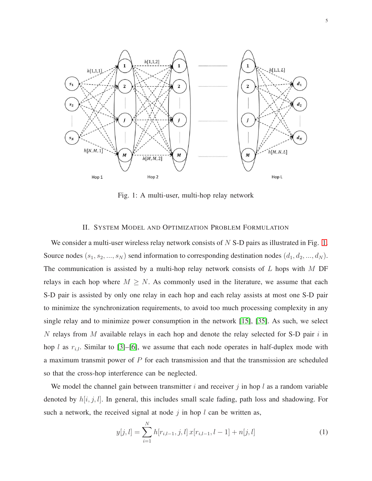<span id="page-4-1"></span>

Fig. 1: A multi-user, multi-hop relay network

## II. SYSTEM MODEL AND OPTIMIZATION PROBLEM FORMULATION

<span id="page-4-0"></span>We consider a multi-user wireless relay network consists of  $N$  S-D pairs as illustrated in Fig. [1.](#page-4-1) Source nodes  $(s_1, s_2, ..., s_N)$  send information to corresponding destination nodes  $(d_1, d_2, ..., d_N)$ . The communication is assisted by a multi-hop relay network consists of  $L$  hops with  $M$  DF relays in each hop where  $M \geq N$ . As commonly used in the literature, we assume that each S-D pair is assisted by only one relay in each hop and each relay assists at most one S-D pair to minimize the synchronization requirements, to avoid too much processing complexity in any single relay and to minimize power consumption in the network [\[15\]](#page-22-9), [\[35\]](#page-23-9). As such, we select N relays from M available relays in each hop and denote the relay selected for S-D pair  $i$  in hop l as  $r_{i,l}$ . Similar to [\[3\]](#page-21-2)–[\[6\]](#page-22-0), we assume that each node operates in half-duplex mode with a maximum transmit power of  $P$  for each transmission and that the transmission are scheduled so that the cross-hop interference can be neglected.

We model the channel gain between transmitter i and receiver j in hop l as a random variable denoted by  $h[i, j, l]$ . In general, this includes small scale fading, path loss and shadowing. For such a network, the received signal at node  $j$  in hop  $l$  can be written as,

$$
y[j, l] = \sum_{i=1}^{N} h[r_{i, l-1}, j, l] x[r_{i, l-1}, l-1] + n[j, l]
$$
 (1)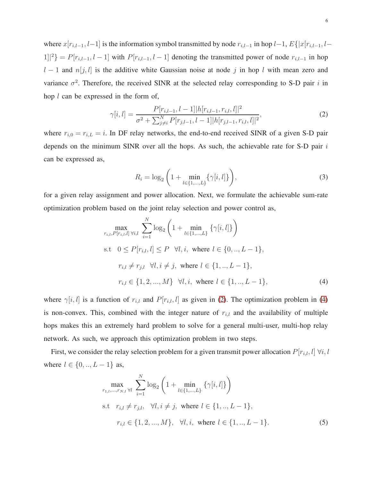where  $x[r_{i,l-1}, l-1]$  is the information symbol transmitted by node  $r_{i,l-1}$  in hop  $l-1$ ,  $E\{|x[r_{i,l-1}, l-1]$  $1\vert\vert^2$ } =  $P[r_{i,l-1}, l-1]$  with  $P[r_{i,l-1}, l-1]$  denoting the transmitted power of node  $r_{i,l-1}$  in hop  $l - 1$  and  $n[j, l]$  is the additive white Gaussian noise at node j in hop l with mean zero and variance  $\sigma^2$ . Therefore, the received SINR at the selected relay corresponding to S-D pair i in hop l can be expressed in the form of,

$$
\gamma[i,l] = \frac{P[r_{i,l-1}, l-1]|h[r_{i,l-1}, r_{i,l}, l]|^2}{\sigma^2 + \sum_{j \neq i}^N P[r_{j,l-1}, l-1]|h[r_{j,l-1}, r_{i,l}, l]|^2},\tag{2}
$$

where  $r_{i,0} = r_{i,L} = i$ . In DF relay networks, the end-to-end received SINR of a given S-D pair depends on the minimum SINR over all the hops. As such, the achievable rate for S-D pair i can be expressed as,

<span id="page-5-1"></span><span id="page-5-0"></span>
$$
R_i = \log_2 \left( 1 + \min_{l \in \{1, \dots, L\}} \{ \gamma[i, l] \} \right),\tag{3}
$$

for a given relay assignment and power allocation. Next, we formulate the achievable sum-rate optimization problem based on the joint relay selection and power control as,

$$
\max_{r_{i,l}, P[r_{i,l},l] \forall i,l} \sum_{i=1}^{N} \log_2 \left( 1 + \min_{l \in \{1, ..., L\}} \{ \gamma[i, l] \} \right)
$$
  
s.t  $0 \le P[r_{i,l}, l] \le P \forall l, i$ , where  $l \in \{0, ..., L-1\}$ ,  
 $r_{i,l} \ne r_{j,l} \forall l, i \ne j$ , where  $l \in \{1, ..., L-1\}$ ,  
 $r_{i,l} \in \{1, 2, ..., M\} \forall l, i$ , where  $l \in \{1, ..., L-1\}$ , (4)

where  $\gamma[i, l]$  is a function of  $r_{i,l}$  and  $P[r_{i,l}, l]$  as given in [\(2\)](#page-5-0). The optimization problem in [\(4\)](#page-5-1) is non-convex. This, combined with the integer nature of  $r_{i,l}$  and the availability of multiple hops makes this an extremely hard problem to solve for a general multi-user, multi-hop relay network. As such, we approach this optimization problem in two steps.

First, we consider the relay selection problem for a given transmit power allocation  $P[r_{i,l}, l] \; \forall i, l$ where  $l \in \{0, ..., L - 1\}$  as,

<span id="page-5-2"></span>
$$
\max_{r_{1,l},...,r_{N,l} \forall l} \sum_{i=1}^{N} \log_2 \left( 1 + \min_{l \in \{1,...,L\}} \{ \gamma[i, l] \} \right)
$$
  
s.t  $r_{i,l} \neq r_{j,l}, \forall l, i \neq j$ , where  $l \in \{1, ..., L-1\}$ ,  
 $r_{i,l} \in \{1, 2, ..., M\}, \forall l, i$ , where  $l \in \{1, ..., L-1\}$ . (5)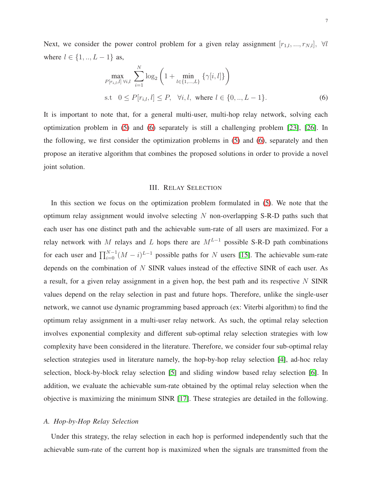Next, we consider the power control problem for a given relay assignment  $[r_{1,l},...,r_{N,l}], \forall l$ where  $l \in \{1, ..., L - 1\}$  as,

$$
\max_{P[r_{i,l},l] \,\forall i,l} \sum_{i=1}^{N} \log_2 \left( 1 + \min_{l \in \{1,\dots,L\}} \left\{ \gamma[i,l] \right\} \right)
$$
\n
$$
\text{s.t} \quad 0 \le P[r_{i,l}, l] \le P, \quad \forall i, l, \text{ where } l \in \{0, \dots, L-1\}. \tag{6}
$$

It is important to note that, for a general multi-user, multi-hop relay network, solving each optimization problem in [\(5\)](#page-5-2) and [\(6\)](#page-6-1) separately is still a challenging problem [\[23\]](#page-22-15), [\[26\]](#page-23-1). In the following, we first consider the optimization problems in [\(5\)](#page-5-2) and [\(6\)](#page-6-1), separately and then propose an iterative algorithm that combines the proposed solutions in order to provide a novel joint solution.

#### <span id="page-6-1"></span>III. RELAY SELECTION

<span id="page-6-0"></span>In this section we focus on the optimization problem formulated in [\(5\)](#page-5-2). We note that the optimum relay assignment would involve selecting  $N$  non-overlapping S-R-D paths such that each user has one distinct path and the achievable sum-rate of all users are maximized. For a relay network with M relays and L hops there are  $M^{L-1}$  possible S-R-D path combinations for each user and  $\prod_{i=0}^{N-1} (M - i)^{L-1}$  possible paths for N users [\[15\]](#page-22-9). The achievable sum-rate depends on the combination of N SINR values instead of the effective SINR of each user. As a result, for a given relay assignment in a given hop, the best path and its respective  $N$  SINR values depend on the relay selection in past and future hops. Therefore, unlike the single-user network, we cannot use dynamic programming based approach (ex: Viterbi algorithm) to find the optimum relay assignment in a multi-user relay network. As such, the optimal relay selection involves exponential complexity and different sub-optimal relay selection strategies with low complexity have been considered in the literature. Therefore, we consider four sub-optimal relay selection strategies used in literature namely, the hop-by-hop relay selection [\[4\]](#page-21-3), ad-hoc relay selection, block-by-block relay selection [\[5\]](#page-22-1) and sliding window based relay selection [\[6\]](#page-22-0). In addition, we evaluate the achievable sum-rate obtained by the optimal relay selection when the objective is maximizing the minimum SINR [\[17\]](#page-22-10). These strategies are detailed in the following.

# *A. Hop-by-Hop Relay Selection*

Under this strategy, the relay selection in each hop is performed independently such that the achievable sum-rate of the current hop is maximized when the signals are transmitted from the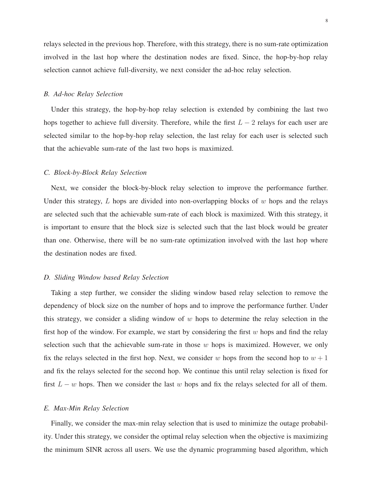relays selected in the previous hop. Therefore, with this strategy, there is no sum-rate optimization involved in the last hop where the destination nodes are fixed. Since, the hop-by-hop relay selection cannot achieve full-diversity, we next consider the ad-hoc relay selection.

## *B. Ad-hoc Relay Selection*

Under this strategy, the hop-by-hop relay selection is extended by combining the last two hops together to achieve full diversity. Therefore, while the first  $L - 2$  relays for each user are selected similar to the hop-by-hop relay selection, the last relay for each user is selected such that the achievable sum-rate of the last two hops is maximized.

## *C. Block-by-Block Relay Selection*

Next, we consider the block-by-block relay selection to improve the performance further. Under this strategy,  $L$  hops are divided into non-overlapping blocks of  $w$  hops and the relays are selected such that the achievable sum-rate of each block is maximized. With this strategy, it is important to ensure that the block size is selected such that the last block would be greater than one. Otherwise, there will be no sum-rate optimization involved with the last hop where the destination nodes are fixed.

## *D. Sliding Window based Relay Selection*

Taking a step further, we consider the sliding window based relay selection to remove the dependency of block size on the number of hops and to improve the performance further. Under this strategy, we consider a sliding window of  $w$  hops to determine the relay selection in the first hop of the window. For example, we start by considering the first  $w$  hops and find the relay selection such that the achievable sum-rate in those  $w$  hops is maximized. However, we only fix the relays selected in the first hop. Next, we consider w hops from the second hop to  $w + 1$ and fix the relays selected for the second hop. We continue this until relay selection is fixed for first  $L - w$  hops. Then we consider the last w hops and fix the relays selected for all of them.

# *E. Max-Min Relay Selection*

Finally, we consider the max-min relay selection that is used to minimize the outage probability. Under this strategy, we consider the optimal relay selection when the objective is maximizing the minimum SINR across all users. We use the dynamic programming based algorithm, which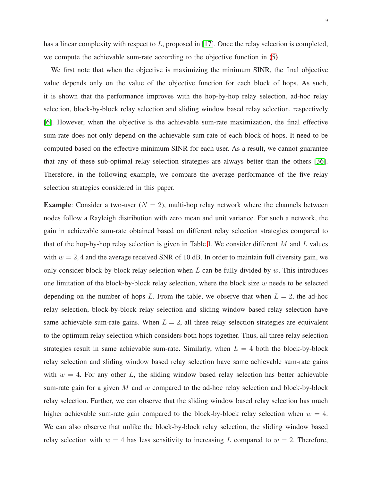has a linear complexity with respect to L, proposed in [\[17\]](#page-22-10). Once the relay selection is completed, we compute the achievable sum-rate according to the objective function in [\(5\)](#page-5-2).

We first note that when the objective is maximizing the minimum SINR, the final objective value depends only on the value of the objective function for each block of hops. As such, it is shown that the performance improves with the hop-by-hop relay selection, ad-hoc relay selection, block-by-block relay selection and sliding window based relay selection, respectively [\[6\]](#page-22-0). However, when the objective is the achievable sum-rate maximization, the final effective sum-rate does not only depend on the achievable sum-rate of each block of hops. It need to be computed based on the effective minimum SINR for each user. As a result, we cannot guarantee that any of these sub-optimal relay selection strategies are always better than the others [\[36\]](#page-23-10). Therefore, in the following example, we compare the average performance of the five relay selection strategies considered in this paper.

**Example:** Consider a two-user ( $N = 2$ ), multi-hop relay network where the channels between nodes follow a Rayleigh distribution with zero mean and unit variance. For such a network, the gain in achievable sum-rate obtained based on different relay selection strategies compared to that of the hop-by-hop relay selection is given in Table [I.](#page-9-0) We consider different  $M$  and  $L$  values with  $w = 2$ , 4 and the average received SNR of 10 dB. In order to maintain full diversity gain, we only consider block-by-block relay selection when  $L$  can be fully divided by  $w$ . This introduces one limitation of the block-by-block relay selection, where the block size  $w$  needs to be selected depending on the number of hops L. From the table, we observe that when  $L = 2$ , the ad-hoc relay selection, block-by-block relay selection and sliding window based relay selection have same achievable sum-rate gains. When  $L = 2$ , all three relay selection strategies are equivalent to the optimum relay selection which considers both hops together. Thus, all three relay selection strategies result in same achievable sum-rate. Similarly, when  $L = 4$  both the block-by-block relay selection and sliding window based relay selection have same achievable sum-rate gains with  $w = 4$ . For any other L, the sliding window based relay selection has better achievable sum-rate gain for a given M and w compared to the ad-hoc relay selection and block-by-block relay selection. Further, we can observe that the sliding window based relay selection has much higher achievable sum-rate gain compared to the block-by-block relay selection when  $w = 4$ . We can also observe that unlike the block-by-block relay selection, the sliding window based relay selection with  $w = 4$  has less sensitivity to increasing L compared to  $w = 2$ . Therefore,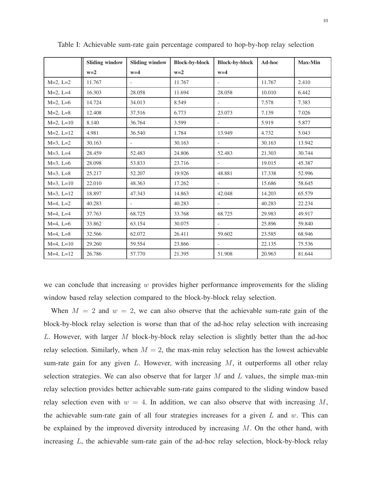|                | <b>Sliding window</b> | <b>Sliding window</b>    | <b>Block-by-block</b> | <b>Block-by-block</b>    | Ad-hoc | <b>Max-Min</b> |
|----------------|-----------------------|--------------------------|-----------------------|--------------------------|--------|----------------|
|                | $w=2$                 | $w=4$                    | $w=2$                 | $w=4$                    |        |                |
| $M=2, L=2$     | 11.767                | $\overline{\phantom{a}}$ | 11.767                | $\overline{\phantom{0}}$ | 11.767 | 2.410          |
| $M=2, L=4$     | 16.303                | 28.058                   | 11.694                | 28.058                   | 10.010 | 6.442          |
| $M=2$ , $L=6$  | 14.724                | 34.013                   | 8.549                 | $\overline{\phantom{0}}$ | 7.578  | 7.383          |
| $M=2, L=8$     | 12.408                | 37.516                   | 6.773                 | 23.073                   | 7.139  | 7.026          |
| $M=2, L=10$    | 8.140                 | 36.764                   | 3.599                 |                          | 5.919  | 5.877          |
| $M=2, L=12$    | 4.981                 | 36.540                   | 1.784                 | 13.949                   | 4.732  | 5.043          |
| $M=3$ , $L=2$  | 30.163                | $\overline{\phantom{a}}$ | 30.163                | $\overline{a}$           | 30.163 | 13.942         |
| $M=3$ , $L=4$  | 28.459                | 52.483                   | 24.806                | 52.483                   | 21.303 | 30.744         |
| $M=3$ , $L=6$  | 28.098                | 53.833                   | 23.716                | $\overline{\phantom{a}}$ | 19.015 | 45.387         |
| $M=3$ , $L=8$  | 25.217                | 52.207                   | 19.926                | 48.881                   | 17.338 | 52.996         |
| $M=3$ , $L=10$ | 22.010                | 48.363                   | 17.262                |                          | 15.686 | 58.645         |
| $M=3$ , $L=12$ | 18.897                | 47.343                   | 14.863                | 42.048                   | 14.203 | 65.579         |
| $M=4$ , $L=2$  | 40.283                | $\overline{\phantom{a}}$ | 40.283                | $\blacksquare$           | 40.283 | 22.234         |
| $M=4$ , $L=4$  | 37.763                | 68.725                   | 33.768                | 68.725                   | 29.983 | 49.917         |
| $M=4$ , $L=6$  | 33.862                | 63.154                   | 30.075                |                          | 25.896 | 59.840         |
| $M=4$ , $L=8$  | 32.566                | 62.072                   | 26.411                | 59.602                   | 23.585 | 68.946         |
| $M=4$ , $L=10$ | 29.260                | 59.554                   | 23.866                | $\overline{a}$           | 22.135 | 75.536         |
| $M=4$ , $L=12$ | 26.786                | 57.770                   | 21.395                | 51.908                   | 20.963 | 81.644         |

<span id="page-9-0"></span>Table I: Achievable sum-rate gain percentage compared to hop-by-hop relay selection

we can conclude that increasing  $w$  provides higher performance improvements for the sliding window based relay selection compared to the block-by-block relay selection.

When  $M = 2$  and  $w = 2$ , we can also observe that the achievable sum-rate gain of the block-by-block relay selection is worse than that of the ad-hoc relay selection with increasing L. However, with larger M block-by-block relay selection is slightly better than the ad-hoc relay selection. Similarly, when  $M = 2$ , the max-min relay selection has the lowest achievable sum-rate gain for any given  $L$ . However, with increasing  $M$ , it outperforms all other relay selection strategies. We can also observe that for larger  $M$  and  $L$  values, the simple max-min relay selection provides better achievable sum-rate gains compared to the sliding window based relay selection even with  $w = 4$ . In addition, we can also observe that with increasing M, the achievable sum-rate gain of all four strategies increases for a given  $L$  and  $w$ . This can be explained by the improved diversity introduced by increasing  $M$ . On the other hand, with increasing L, the achievable sum-rate gain of the ad-hoc relay selection, block-by-block relay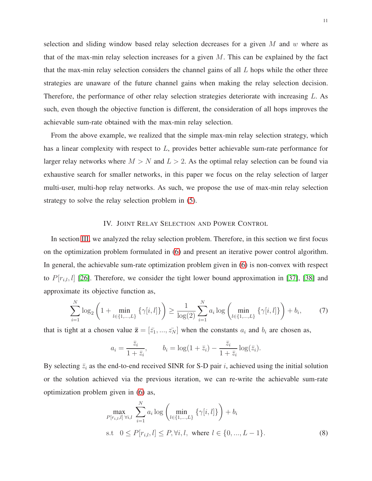selection and sliding window based relay selection decreases for a given  $M$  and  $w$  where as that of the max-min relay selection increases for a given  $M$ . This can be explained by the fact that the max-min relay selection considers the channel gains of all  $L$  hops while the other three strategies are unaware of the future channel gains when making the relay selection decision. Therefore, the performance of other relay selection strategies deteriorate with increasing L. As such, even though the objective function is different, the consideration of all hops improves the achievable sum-rate obtained with the max-min relay selection.

From the above example, we realized that the simple max-min relay selection strategy, which has a linear complexity with respect to L, provides better achievable sum-rate performance for larger relay networks where  $M > N$  and  $L > 2$ . As the optimal relay selection can be found via exhaustive search for smaller networks, in this paper we focus on the relay selection of larger multi-user, multi-hop relay networks. As such, we propose the use of max-min relay selection strategy to solve the relay selection problem in [\(5\)](#page-5-2).

# IV. JOINT RELAY SELECTION AND POWER CONTROL

<span id="page-10-0"></span>In section [III,](#page-6-0) we analyzed the relay selection problem. Therefore, in this section we first focus on the optimization problem formulated in [\(6\)](#page-6-1) and present an iterative power control algorithm. In general, the achievable sum-rate optimization problem given in [\(6\)](#page-6-1) is non-convex with respect to  $P[r_{i,l}, l]$  [\[26\]](#page-23-1). Therefore, we consider the tight lower bound approximation in [\[37\]](#page-23-11), [\[38\]](#page-23-12) and approximate its objective function as,

$$
\sum_{i=1}^{N} \log_2 \left( 1 + \min_{l \in \{1, \dots, L\}} \left\{ \gamma[i, l] \right\} \right) \ge \frac{1}{\log(2)} \sum_{i=1}^{N} a_i \log \left( \min_{l \in \{1, \dots, L\}} \left\{ \gamma[i, l] \right\} \right) + b_i,
$$
 (7)

that is tight at a chosen value  $\bar{z} = [\bar{z}_1, ..., \bar{z}_N]$  when the constants  $a_i$  and  $b_i$  are chosen as,

$$
a_i = \frac{\overline{z}_i}{1 + \overline{z}_i}, \qquad b_i = \log(1 + \overline{z}_i) - \frac{\overline{z}_i}{1 + \overline{z}_i} \log(\overline{z}_i).
$$

By selecting  $\bar{z}_i$  as the end-to-end received SINR for S-D pair i, achieved using the initial solution or the solution achieved via the previous iteration, we can re-write the achievable sum-rate optimization problem given in [\(6\)](#page-6-1) as,

<span id="page-10-1"></span>
$$
\max_{P[r_{i,l},l] \,\forall i,l} \sum_{i=1}^{N} a_i \log \left( \min_{l \in \{1,\dots,L\}} \left\{ \gamma[i,l] \right\} \right) + b_i
$$
\n  
\ns.t  $0 \le P[r_{i,l}, l] \le P, \forall i, l$ , where  $l \in \{0, \dots, L-1\}$ . (8)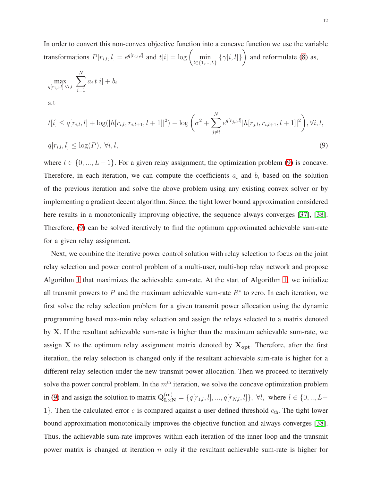In order to convert this non-convex objective function into a concave function we use the variable transformations  $P[r_{i,l}, l] = e^{q[r_{i,l},l]}$  and  $t[i] = \log \left( \min_{l \in \{1,...,L\}} \left\{ \gamma[i,l] \right\} \right)$  $\setminus$ and reformulate [\(8\)](#page-10-1) as,

$$
\max_{q[r_{i,l},l] \forall i,l} \sum_{i=1}^{N} a_i t[i] + b_i
$$
  
s.t

<span id="page-11-0"></span>
$$
t[i] \le q[r_{i,l}, l] + \log(|h[r_{i,l}, r_{i,l+1}, l+1]|^2) - \log\left(\sigma^2 + \sum_{j \ne i}^N e^{q[r_{j,l}, l]} |h[r_{j,l}, r_{i,l+1}, l+1]|^2\right), \forall i, l,
$$
  

$$
q[r_{i,l}, l] \le \log(P), \forall i, l,
$$
\n(9)

where  $l \in \{0, ..., L-1\}$ . For a given relay assignment, the optimization problem [\(9\)](#page-11-0) is concave. Therefore, in each iteration, we can compute the coefficients  $a_i$  and  $b_i$  based on the solution of the previous iteration and solve the above problem using any existing convex solver or by implementing a gradient decent algorithm. Since, the tight lower bound approximation considered here results in a monotonically improving objective, the sequence always converges [\[37\]](#page-23-11), [\[38\]](#page-23-12). Therefore, [\(9\)](#page-11-0) can be solved iteratively to find the optimum approximated achievable sum-rate for a given relay assignment.

Next, we combine the iterative power control solution with relay selection to focus on the joint relay selection and power control problem of a multi-user, multi-hop relay network and propose Algorithm [1](#page-12-0) that maximizes the achievable sum-rate. At the start of Algorithm [1,](#page-12-0) we initialize all transmit powers to P and the maximum achievable sum-rate  $R^*$  to zero. In each iteration, we first solve the relay selection problem for a given transmit power allocation using the dynamic programming based max-min relay selection and assign the relays selected to a matrix denoted by X. If the resultant achievable sum-rate is higher than the maximum achievable sum-rate, we assign X to the optimum relay assignment matrix denoted by  $X_{opt}$ . Therefore, after the first iteration, the relay selection is changed only if the resultant achievable sum-rate is higher for a different relay selection under the new transmit power allocation. Then we proceed to iteratively solve the power control problem. In the  $m<sup>th</sup>$  iteration, we solve the concave optimization problem in [\(9\)](#page-11-0) and assign the solution to matrix  $\mathbf{Q}^{(m)}_{\mathbf{L}\times\mathbf{N}} = \{q[r_{1,l}, l], ..., q[r_{N,l}, l]\}, \forall l$ , where  $l \in \{0, ..., L-1\}$ 1}. Then the calculated error  $e$  is compared against a user defined threshold  $e_{th}$ . The tight lower bound approximation monotonically improves the objective function and always converges [\[38\]](#page-23-12). Thus, the achievable sum-rate improves within each iteration of the inner loop and the transmit power matrix is changed at iteration  $n$  only if the resultant achievable sum-rate is higher for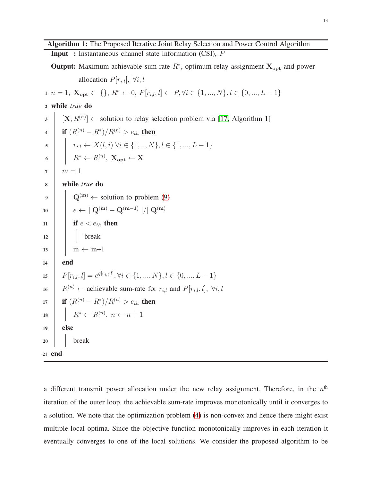Input : Instantaneous channel state information (CSI), P

**Output:** Maximum achievable sum-rate  $R^*$ , optimum relay assignment  $X_{opt}$  and power

allocation  $P[r_{i,l}], \forall i, l$ 

$$
1 \ n = 1, \ \mathbf{X_{opt}} \leftarrow \{\}, R^* \leftarrow 0, P[r_{i,l}, l] \leftarrow P, \forall i \in \{1, ..., N\}, l \in \{0, ..., L - 1\}
$$

<sup>2</sup> while *true* do

 $3 \mid [X, R^{(n)}] \leftarrow$  solution to relay selection problem via [\[17,](#page-22-10) Algorithm 1] 4 | if  $(R^{(n)} - R^*)/R^{(n)} > e_{th}$  then 5  $\vert \quad \vert \quad r_{i,l} \leftarrow X(l,i) \ \forall i \in \{1, ..., N\}, l \in \{1, ..., L-1\}$ 6  $R^* \leftarrow R^{(n)}, \ \mathbf{X_{opt}} \leftarrow \mathbf{X}$  $7 \mid m=1$ <sup>8</sup> while *true* do 9  $\left| \right|$  Q<sup>(m)</sup>  $\leftarrow$  solution to problem [\(9\)](#page-11-0)  $\begin{array}{|c|c|c|c|c|}\hline \rule{0pt}{12pt}\quad & e \leftarrow & \mid \mathbf{Q^{(m)}}-\mathbf{Q^{(m-1)}} \mid / \mid \mathbf{Q^{(m)}} \mid \ \hline \end{array}$ 11 if  $e < e_{th}$  then <sup>12</sup> break  $13 \text{ } m \leftarrow m+1$ <sup>14</sup> end 15  $P[r_{i,l}, l] = e^{q[r_{i,l}, l]}, \forall i \in \{1, ..., N\}, l \in \{0, ..., L-1\}$ 16  $R^{(n)} \leftarrow$  achievable sum-rate for  $r_{i,l}$  and  $P[r_{i,l}, l], \forall i, l$ 17 **if**  $(R^{(n)} - R^*)/R^{(n)} > e_{th}$  then 18  $\vert R^* \leftarrow R^{(n)}, n \leftarrow n+1$ <sup>19</sup> else <sup>20</sup> break <sup>21</sup> end

<span id="page-12-0"></span>a different transmit power allocation under the new relay assignment. Therefore, in the  $n<sup>th</sup>$ iteration of the outer loop, the achievable sum-rate improves monotonically until it converges to a solution. We note that the optimization problem [\(4\)](#page-5-1) is non-convex and hence there might exist multiple local optima. Since the objective function monotonically improves in each iteration it eventually converges to one of the local solutions. We consider the proposed algorithm to be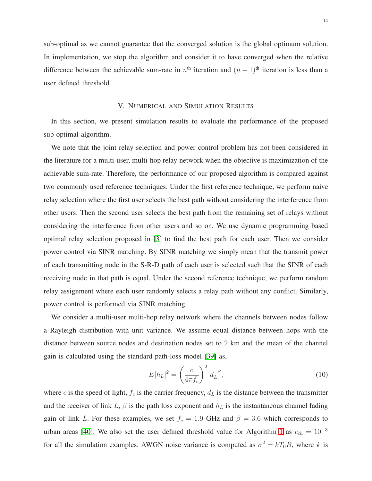sub-optimal as we cannot guarantee that the converged solution is the global optimum solution. In implementation, we stop the algorithm and consider it to have converged when the relative difference between the achievable sum-rate in  $n^{\text{th}}$  iteration and  $(n+1)^{\text{th}}$  iteration is less than a user defined threshold.

## V. NUMERICAL AND SIMULATION RESULTS

<span id="page-13-0"></span>In this section, we present simulation results to evaluate the performance of the proposed sub-optimal algorithm.

We note that the joint relay selection and power control problem has not been considered in the literature for a multi-user, multi-hop relay network when the objective is maximization of the achievable sum-rate. Therefore, the performance of our proposed algorithm is compared against two commonly used reference techniques. Under the first reference technique, we perform naive relay selection where the first user selects the best path without considering the interference from other users. Then the second user selects the best path from the remaining set of relays without considering the interference from other users and so on. We use dynamic programming based optimal relay selection proposed in [\[3\]](#page-21-2) to find the best path for each user. Then we consider power control via SINR matching. By SINR matching we simply mean that the transmit power of each transmitting node in the S-R-D path of each user is selected such that the SINR of each receiving node in that path is equal. Under the second reference technique, we perform random relay assignment where each user randomly selects a relay path without any conflict. Similarly, power control is performed via SINR matching.

We consider a multi-user multi-hop relay network where the channels between nodes follow a Rayleigh distribution with unit variance. We assume equal distance between hops with the distance between source nodes and destination nodes set to 2 km and the mean of the channel gain is calculated using the standard path-loss model [\[39\]](#page-23-13) as,

$$
E|h_L|^2 = \left(\frac{c}{4\pi f_c}\right)^2 d_L^{-\beta},\tag{10}
$$

where c is the speed of light,  $f_c$  is the carrier frequency,  $d<sub>L</sub>$  is the distance between the transmitter and the receiver of link L,  $\beta$  is the path loss exponent and  $h<sub>L</sub>$  is the instantaneous channel fading gain of link L. For these examples, we set  $f_c = 1.9$  GHz and  $\beta = 3.6$  which corresponds to urban areas [\[40\]](#page-23-14). We also set the user defined threshold value for Algorithm [1](#page-12-0) as  $e_{th} = 10^{-3}$ for all the simulation examples. AWGN noise variance is computed as  $\sigma^2 = kT_0B$ , where k is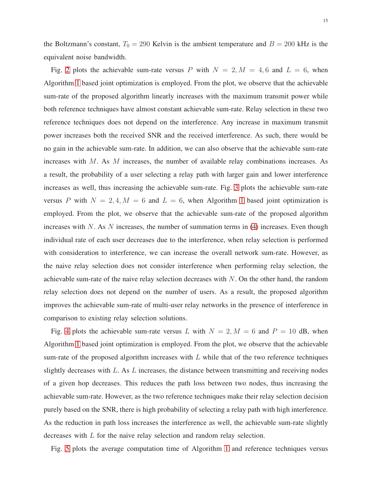the Boltzmann's constant,  $T_0 = 290$  Kelvin is the ambient temperature and  $B = 200$  kHz is the equivalent noise bandwidth.

Fig. [2](#page-15-0) plots the achievable sum-rate versus P with  $N = 2, M = 4, 6$  and  $L = 6$ , when Algorithm [1](#page-12-0) based joint optimization is employed. From the plot, we observe that the achievable sum-rate of the proposed algorithm linearly increases with the maximum transmit power while both reference techniques have almost constant achievable sum-rate. Relay selection in these two reference techniques does not depend on the interference. Any increase in maximum transmit power increases both the received SNR and the received interference. As such, there would be no gain in the achievable sum-rate. In addition, we can also observe that the achievable sum-rate increases with M. As M increases, the number of available relay combinations increases. As a result, the probability of a user selecting a relay path with larger gain and lower interference increases as well, thus increasing the achievable sum-rate. Fig. [3](#page-15-1) plots the achievable sum-rate versus P with  $N = 2, 4, M = 6$  and  $L = 6$ , when Algorithm [1](#page-12-0) based joint optimization is employed. From the plot, we observe that the achievable sum-rate of the proposed algorithm increases with  $N$ . As  $N$  increases, the number of summation terms in [\(4\)](#page-5-1) increases. Even though individual rate of each user decreases due to the interference, when relay selection is performed with consideration to interference, we can increase the overall network sum-rate. However, as the naive relay selection does not consider interference when performing relay selection, the achievable sum-rate of the naive relay selection decreases with  $N$ . On the other hand, the random relay selection does not depend on the number of users. As a result, the proposed algorithm improves the achievable sum-rate of multi-user relay networks in the presence of interference in comparison to existing relay selection solutions.

Fig. [4](#page-16-1) plots the achievable sum-rate versus L with  $N = 2$ ,  $M = 6$  and  $P = 10$  dB, when Algorithm [1](#page-12-0) based joint optimization is employed. From the plot, we observe that the achievable sum-rate of the proposed algorithm increases with  $L$  while that of the two reference techniques slightly decreases with  $L$ . As  $L$  increases, the distance between transmitting and receiving nodes of a given hop decreases. This reduces the path loss between two nodes, thus increasing the achievable sum-rate. However, as the two reference techniques make their relay selection decision purely based on the SNR, there is high probability of selecting a relay path with high interference. As the reduction in path loss increases the interference as well, the achievable sum-rate slightly decreases with L for the naive relay selection and random relay selection.

Fig. [5](#page-17-0) plots the average computation time of Algorithm [1](#page-12-0) and reference techniques versus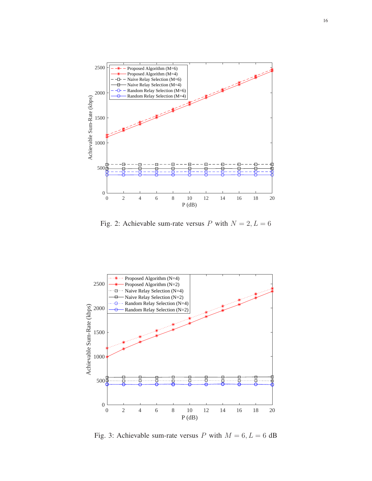<span id="page-15-0"></span>

Fig. 2: Achievable sum-rate versus P with  $N = 2, L = 6$ 

<span id="page-15-1"></span>

Fig. 3: Achievable sum-rate versus P with  $M = 6, L = 6$  dB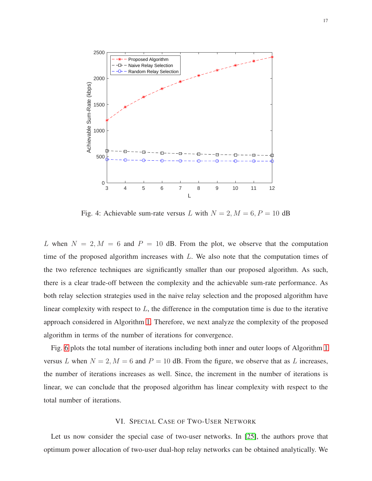<span id="page-16-1"></span>

Fig. 4: Achievable sum-rate versus L with  $N = 2$ ,  $M = 6$ ,  $P = 10$  dB

L when  $N = 2, M = 6$  and  $P = 10$  dB. From the plot, we observe that the computation time of the proposed algorithm increases with  $L$ . We also note that the computation times of the two reference techniques are significantly smaller than our proposed algorithm. As such, there is a clear trade-off between the complexity and the achievable sum-rate performance. As both relay selection strategies used in the naive relay selection and the proposed algorithm have linear complexity with respect to  $L$ , the difference in the computation time is due to the iterative approach considered in Algorithm [1.](#page-12-0) Therefore, we next analyze the complexity of the proposed algorithm in terms of the number of iterations for convergence.

Fig. [6](#page-17-1) plots the total number of iterations including both inner and outer loops of Algorithm [1](#page-12-0) versus L when  $N = 2$ ,  $M = 6$  and  $P = 10$  dB. From the figure, we observe that as L increases, the number of iterations increases as well. Since, the increment in the number of iterations is linear, we can conclude that the proposed algorithm has linear complexity with respect to the total number of iterations.

## VI. SPECIAL CASE OF TWO-USER NETWORK

<span id="page-16-0"></span>Let us now consider the special case of two-user networks. In [\[25\]](#page-23-0), the authors prove that optimum power allocation of two-user dual-hop relay networks can be obtained analytically. We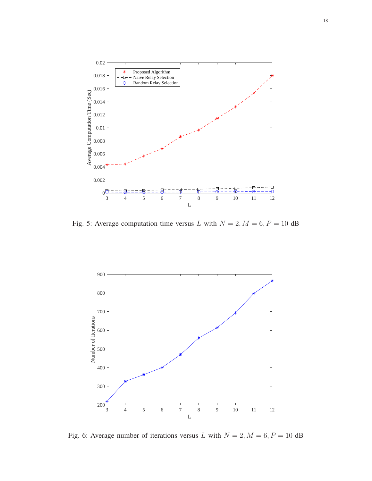<span id="page-17-0"></span>

<span id="page-17-1"></span>Fig. 5: Average computation time versus L with  $N = 2$ ,  $M = 6$ ,  $P = 10$  dB



Fig. 6: Average number of iterations versus L with  $N = 2, M = 6, P = 10$  dB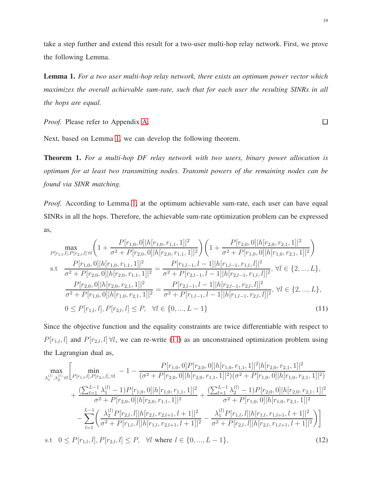take a step further and extend this result for a two-user multi-hop relay network. First, we prove the following Lemma.

<span id="page-18-1"></span>Lemma 1. *For a two user multi-hop relay network, there exists an optimum power vector which maximizes the overall achievable sum-rate, such that for each user the resulting SINRs in all the hops are equal.*

*Proof.* Please refer to Appendix [A.](#page-20-0)

<span id="page-18-2"></span> $\Box$ 

Next, based on Lemma [1,](#page-18-1) we can develop the following theorem.

<span id="page-18-0"></span>Theorem 1. *For a multi-hop DF relay network with two users, binary power allocation is optimum for at least two transmitting nodes. Transmit powers of the remaining nodes can be found via SINR matching.*

*Proof.* According to Lemma [1,](#page-18-1) at the optimum achievable sum-rate, each user can have equal SINRs in all the hops. Therefore, the achievable sum-rate optimization problem can be expressed as,

$$
\max_{P[r_{1,l},l],P[r_{2,l},l]\,\forall l} \left(1+\frac{P[r_{1,0},0]|h[r_{1,0},r_{1,1},1]|^2}{\sigma^2+P[r_{2,0},0]|h[r_{2,0},r_{1,1},1]|^2}\right) \left(1+\frac{P[r_{2,0},0]|h[r_{2,0},r_{2,1},1]|^2}{\sigma^2+P[r_{1,0},0]|h[r_{1,0},r_{2,1},1]|^2}\right)
$$
\ns.t\n
$$
\frac{P[r_{1,0},0]|h[r_{1,0},r_{1,1},1]|^2}{\sigma^2+P[r_{2,0},0]|h[r_{2,0},r_{1,1},1]|^2} = \frac{P[r_{1,l-1},l-1]|h[r_{1,l-1},r_{1,l},l]|^2}{\sigma^2+P[r_{2,0},0]|h[r_{2,0},r_{2,1},1]|^2} = \frac{P[r_{2,l-1},l-1]|h[r_{2,l-1},r_{1,l},l]|^2}{\sigma^2+P[r_{1,0},0]|h[r_{2,0},r_{2,1},1]|^2} = \frac{P[r_{2,l-1},l-1]|h[r_{2,l-1},r_{2,l},l]|^2}{\sigma^2+P[r_{1,0},0]|h[r_{1,0},r_{2,1},1]|^2} = \frac{P[r_{2,l-1},l-1]|h[r_{2,l-1},r_{2,l},l]|^2}{\sigma^2+P[r_{1,l-1},l-1]|h[r_{1,l-1},r_{2,l},l]|^2}, \forall l \in \{2,...,L\},
$$
\n
$$
0 \leq P[r_{1,l},l],P[r_{2,l},l] \leq P, \quad \forall l \in \{0,...,L-1\}
$$
\n(11)

Since the objective function and the equality constraints are twice differentiable with respect to  $P[r_{1,l}, l]$  and  $P[r_{2,l}, l] \forall l$ , we can re-write [\(11\)](#page-18-2) as an unconstrained optimization problem using the Lagrangian dual as,

$$
\max_{\lambda_1^{(l)},\lambda_2^{(l)}} \left[ \min_{P[r_{1,l},l],P[r_{2,l},l],\forall l} -1 - \frac{P[r_{1,0},0]P[r_{2,0},0]|h[r_{1,0},r_{1,1},1]|^2|h[r_{2,0},r_{2,1},1]|^2}{(\sigma^2 + P[r_{2,0},0]|h[r_{2,0},r_{1,1},1]|^2)(\sigma^2 + P[r_{1,0},0]|h[r_{1,0},r_{2,1},1]|^2)} + \frac{(\sum_{l=1}^{L-1}\lambda_1^{(l)}-1)P[r_{1,0},0]|h[r_{1,0},r_{1,1},1]|^2}{\sigma^2 + P[r_{2,0},0]|h[r_{2,0},r_{1,1},1]|^2} + \frac{(\sum_{l=1}^{L-1}\lambda_2^{(l)}-1)P[r_{2,0},0]|h[r_{2,0},r_{2,1},1]|^2}{\sigma^2 + P[r_{1,0},0]|h[r_{1,0},r_{2,1},1]|^2} - \sum_{l=1}^{L-1} \left( \frac{\lambda_2^{(l)}P[r_{2,l},l]|h[r_{2,l},r_{2,l+1},l+1]|^2}{\sigma^2 + P[r_{1,l},l]|h[r_{1,l},r_{1,l},l,1,l+1]|^2} - \frac{\lambda_1^{(l)}P[r_{1,l},l]|h[r_{1,l},r_{1,l+1},l+1]|^2}{\sigma^2 + P[r_{2,l},l]|h[r_{2,l},r_{1,l+1},l+1]|^2} \right)
$$

<span id="page-18-3"></span>s.t  $0 \le P[r_{1,l}, l], P[r_{2,l}, l] \le P$ ,  $\forall l$  where  $l \in \{0, ..., L-1\}$ , (12)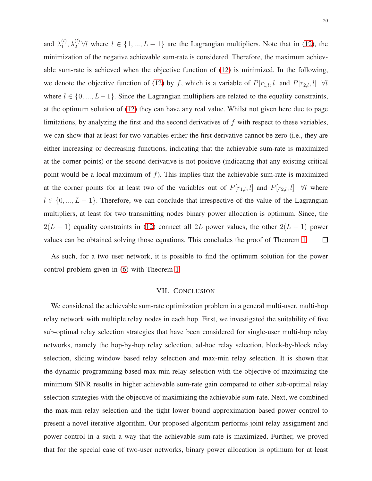and  $\lambda_1^{(l)}$  $\lambda_1^{(l)}$ ,  $\lambda_2^{(l)}$   $\forall l$  where  $l \in \{1, ..., L-1\}$  are the Lagrangian multipliers. Note that in [\(12\)](#page-18-3), the minimization of the negative achievable sum-rate is considered. Therefore, the maximum achievable sum-rate is achieved when the objective function of [\(12\)](#page-18-3) is minimized. In the following, we denote the objective function of [\(12\)](#page-18-3) by f, which is a variable of  $P[r_{1,l}, l]$  and  $P[r_{2,l}, l] \forall l$ where  $l \in \{0, ..., L-1\}$ . Since the Lagrangian multipliers are related to the equality constraints, at the optimum solution of [\(12\)](#page-18-3) they can have any real value. Whilst not given here due to page limitations, by analyzing the first and the second derivatives of f with respect to these variables, we can show that at least for two variables either the first derivative cannot be zero (i.e., they are either increasing or decreasing functions, indicating that the achievable sum-rate is maximized at the corner points) or the second derivative is not positive (indicating that any existing critical point would be a local maximum of f). This implies that the achievable sum-rate is maximized at the corner points for at least two of the variables out of  $P[r_{1,l}, l]$  and  $P[r_{2,l}, l] \quad \forall l$  where  $l \in \{0, ..., L-1\}$ . Therefore, we can conclude that irrespective of the value of the Lagrangian multipliers, at least for two transmitting nodes binary power allocation is optimum. Since, the  $2(L-1)$  equality constraints in [\(12\)](#page-18-3) connect all 2L power values, the other  $2(L-1)$  power values can be obtained solving those equations. This concludes the proof of Theorem [1.](#page-18-0)  $\Box$ 

<span id="page-19-0"></span>As such, for a two user network, it is possible to find the optimum solution for the power control problem given in [\(6\)](#page-6-1) with Theorem [1.](#page-18-0)

#### VII. CONCLUSION

We considered the achievable sum-rate optimization problem in a general multi-user, multi-hop relay network with multiple relay nodes in each hop. First, we investigated the suitability of five sub-optimal relay selection strategies that have been considered for single-user multi-hop relay networks, namely the hop-by-hop relay selection, ad-hoc relay selection, block-by-block relay selection, sliding window based relay selection and max-min relay selection. It is shown that the dynamic programming based max-min relay selection with the objective of maximizing the minimum SINR results in higher achievable sum-rate gain compared to other sub-optimal relay selection strategies with the objective of maximizing the achievable sum-rate. Next, we combined the max-min relay selection and the tight lower bound approximation based power control to present a novel iterative algorithm. Our proposed algorithm performs joint relay assignment and power control in a such a way that the achievable sum-rate is maximized. Further, we proved that for the special case of two-user networks, binary power allocation is optimum for at least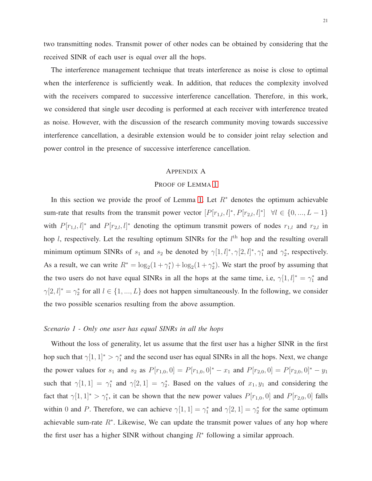two transmitting nodes. Transmit power of other nodes can be obtained by considering that the received SINR of each user is equal over all the hops.

The interference management technique that treats interference as noise is close to optimal when the interference is sufficiently weak. In addition, that reduces the complexity involved with the receivers compared to successive interference cancellation. Therefore, in this work, we considered that single user decoding is performed at each receiver with interference treated as noise. However, with the discussion of the research community moving towards successive interference cancellation, a desirable extension would be to consider joint relay selection and power control in the presence of successive interference cancellation.

#### <span id="page-20-0"></span>APPENDIX A

#### PROOF OF LEMMA [1](#page-18-1)

In this section we provide the proof of Lemma [1.](#page-18-1) Let  $R^*$  denotes the optimum achievable sum-rate that results from the transmit power vector  $[P[r_{1,l}, l]^*, P[r_{2,l}, l]^*] \quad \forall l \in \{0, ..., L-1\}$ with  $P[r_{1,l}, l]^*$  and  $P[r_{2,l}, l]^*$  denoting the optimum transmit powers of nodes  $r_{1,l}$  and  $r_{2,l}$  in hop l, respectively. Let the resulting optimum SINRs for the  $l<sup>th</sup>$  hop and the resulting overall minimum optimum SINRs of  $s_1$  and  $s_2$  be denoted by  $\gamma[1, l]^*, \gamma[2, l]^*, \gamma_1^*$  and  $\gamma_2^*$ , respectively. As a result, we can write  $R^* = \log_2(1 + \gamma_1^*) + \log_2(1 + \gamma_2^*)$ . We start the proof by assuming that the two users do not have equal SINRs in all the hops at the same time, i.e,  $\gamma[1, l]^* = \gamma_1^*$  and  $\gamma[2, l]^* = \gamma_2^*$  for all  $l \in \{1, ..., L\}$  does not happen simultaneously. In the following, we consider the two possible scenarios resulting from the above assumption.

## *Scenario 1 - Only one user has equal SINRs in all the hops*

Without the loss of generality, let us assume that the first user has a higher SINR in the first hop such that  $\gamma[1,1]^* > \gamma_1^*$  and the second user has equal SINRs in all the hops. Next, we change the power values for  $s_1$  and  $s_2$  as  $P[r_{1,0}, 0] = P[r_{1,0}, 0]^* - x_1$  and  $P[r_{2,0}, 0] = P[r_{2,0}, 0]^* - y_1$ such that  $\gamma[1,1] = \gamma_1^*$  and  $\gamma[2,1] = \gamma_2^*$ . Based on the values of  $x_1, y_1$  and considering the fact that  $\gamma[1,1]^* > \gamma_1^*$ , it can be shown that the new power values  $P[r_{1,0},0]$  and  $P[r_{2,0},0]$  falls within 0 and P. Therefore, we can achieve  $\gamma[1,1] = \gamma_1^*$  and  $\gamma[2,1] = \gamma_2^*$  for the same optimum achievable sum-rate  $R^*$ . Likewise, We can update the transmit power values of any hop where the first user has a higher SINR without changing  $R^*$  following a similar approach.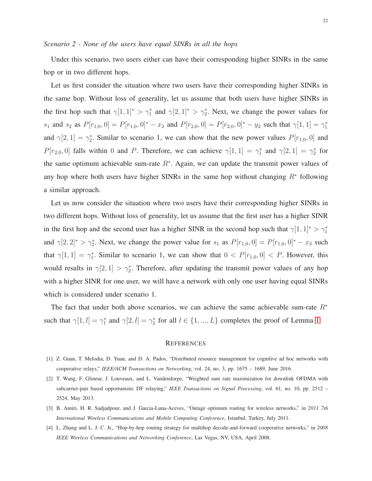Under this scenario, two users either can have their corresponding higher SINRs in the same hop or in two different hops.

Let us first consider the situation where two users have their corresponding higher SINRs in the same hop. Without loss of generality, let us assume that both users have higher SINRs in the first hop such that  $\gamma[1,1]^* > \gamma_1^*$  and  $\gamma[2,1]^* > \gamma_2^*$ . Next, we change the power values for  $s_1$  and  $s_2$  as  $P[r_{1,0}, 0] = P[r_{1,0}, 0]^* - x_2$  and  $P[r_{2,0}, 0] = P[r_{2,0}, 0]^* - y_2$  such that  $\gamma[1, 1] = \gamma_1^*$ and  $\gamma[2,1] = \gamma_2^*$ . Similar to scenario 1, we can show that the new power values  $P[r_{1,0},0]$  and  $P[r_{2,0},0]$  falls within 0 and P. Therefore, we can achieve  $\gamma[1,1] = \gamma_1^*$  and  $\gamma[2,1] = \gamma_2^*$  for the same optimum achievable sum-rate  $R^*$ . Again, we can update the transmit power values of any hop where both users have higher SINRs in the same hop without changing  $R^*$  following a similar approach.

Let us now consider the situation where two users have their corresponding higher SINRs in two different hops. Without loss of generality, let us assume that the first user has a higher SINR in the first hop and the second user has a higher SINR in the second hop such that  $\gamma[1,1]^* > \gamma_1^*$ and  $\gamma[2,2]^* > \gamma_2^*$ . Next, we change the power value for  $s_1$  as  $P[r_{1,0},0] = P[r_{1,0},0]^* - x_3$  such that  $\gamma[1,1] = \gamma_1^*$ . Similar to scenario 1, we can show that  $0 < P[r_{1,0},0] < P$ . However, this would results in  $\gamma[2,1] > \gamma_2^*$ . Therefore, after updating the transmit power values of any hop with a higher SINR for one user, we will have a network with only one user having equal SINRs which is considered under scenario 1.

The fact that under both above scenarios, we can achieve the same achievable sum-rate  $R^*$ such that  $\gamma[1, l] = \gamma_1^*$  and  $\gamma[2, l] = \gamma_2^*$  for all  $l \in \{1, ..., L\}$  completes the proof of Lemma [1.](#page-18-1)

#### **REFERENCES**

- <span id="page-21-1"></span><span id="page-21-0"></span>[1] Z. Guan, T. Melodia, D. Yuan, and D. A. Pados, "Distributed resource management for cognitive ad hoc networks with cooperative relays," *IEEE/ACM Transactions on Networking*, vol. 24, no. 3, pp. 1675 – 1689, June 2016.
- [2] T. Wang, F. Glineur, J. Louveaux, and L. Vandendorpe, "Weighted sum rate maximization for downlink OFDMA with subcarrier-pair based opportunistic DF relaying," *IEEE Transactions on Signal Processing*, vol. 61, no. 10, pp. 2512 – 2524, May 2013.
- <span id="page-21-3"></span><span id="page-21-2"></span>[3] B. Amiri, H. R. Sadjadpour, and J. Garcia-Luna-Aceves, "Outage optimum routing for wireless networks," in *2011 7th International Wireless Communications and Mobile Computing Conference*, Istanbul, Turkey, July 2011.
- [4] L. Zhang and L. J. C. Jr., "Hop-by-hop routing strategy for multihop decode-and-forward cooperative networks," in *2008 IEEE Wireless Communications and Networking Conference*, Las Vegas, NV, USA, April 2008.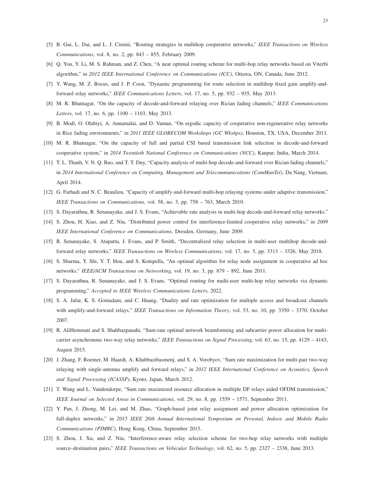- <span id="page-22-1"></span><span id="page-22-0"></span>[5] B. Gui, L. Dai, and L. J. Cimini, "Routing strategies in multihop cooperative networks," *IEEE Transactions on Wireless Communications*, vol. 8, no. 2, pp. 843 – 855, February 2009.
- <span id="page-22-2"></span>[6] Q. You, Y. Li, M. S. Rahman, and Z. Chen, "A near optimal routing scheme for multi-hop relay networks based on Viterbi algorithm," in *2012 IEEE International Conference on Communications (ICC)*, Ottawa, ON, Canada, June 2012.
- <span id="page-22-3"></span>[7] Y. Wang, M. Z. Bocus, and J. P. Coon, "Dynamic programming for route selection in multihop fixed gain amplify-andforward relay networks," *IEEE Communications Letters*, vol. 17, no. 5, pp. 932 – 935, May 2013.
- [8] M. R. Bhatnagar, "On the capacity of decode-and-forward relaying over Rician fading channels," *IEEE Communications Letters*, vol. 17, no. 6, pp. 1100 – 1103, May 2013.
- <span id="page-22-4"></span>[9] B. Modi, O. Olabiyi, A. Annamalai, and D. Vaman, "On ergodic capacity of cooperative non-regenerative relay networks in Rice fading environments," in *2011 IEEE GLOBECOM Workshops (GC Wkshps)*, Houston, TX, USA, December 2011.
- <span id="page-22-5"></span>[10] M. R. Bhatnagar, "On the capacity of full and partial CSI based transmission link selection in decode-and-forward cooperative system," in *2014 Twentieth National Conference on Communications (NCC)*, Kanpur, India, March 2014.
- [11] T. L. Thanh, V. N. Q. Bao, and T. T. Duy, "Capacity analysis of multi-hop decode-and-forward over Rician fading channels," in *2014 International Conference on Computing, Management and Telecommunications (ComManTel)*, Da Nang, Vietnam, April 2014.
- <span id="page-22-7"></span><span id="page-22-6"></span>[12] G. Farhadi and N. C. Beaulieu, "Capacity of amplify-and-forward multi-hop relaying systems under adaptive transmission," *IEEE Transactions on Communications*, vol. 58, no. 3, pp. 758 – 763, March 2010.
- <span id="page-22-8"></span>[13] S. Dayarathna, R. Senanayake, and J. S. Evans, "Achievable rate analysis in multi-hop decode-and-forward relay networks."
- <span id="page-22-9"></span>[14] S. Zhou, H. Xiao, and Z. Niu, "Distributed power control for interference-limited cooperative relay networks," in *2009 IEEE International Conference on Communications*, Dresden, Germany, June 2009.
- [15] R. Senanayake, S. Atapattu, J. Evans, and P. Smith, "Decentralized relay selection in multi-user multihop decode-andforward relay networks," *IEEE Transactions on Wireless Communications*, vol. 17, no. 5, pp. 3313 – 3326, May 2018.
- <span id="page-22-10"></span>[16] S. Sharma, Y. Shi, Y. T. Hou, and S. Kompella, "An optimal algorithm for relay node assignment in cooperative ad hoc networks," *IEEE/ACM Transactions on Networking*, vol. 19, no. 3, pp. 879 – 892, June 2011.
- <span id="page-22-11"></span>[17] S. Dayarathna, R. Senanayake, and J. S. Evans, "Optimal routing for multi-user multi-hop relay networks via dynamic programming," *Accepted to IEEE Wireless Communications Letters*, 2022.
- [18] S. A. Jafar, K. S. Gomadam, and C. Huang, "Duality and rate optimization for multiple access and broadcast channels with amplify-and-forward relays," *IEEE Transactions on Information Theory*, vol. 53, no. 10, pp. 3350 – 3370, October 2007.
- [19] R. AliHemmati and S. Shahbazpanahi, "Sum-rate optimal network beamforming and subcarrier power allocation for multicarrier asynchronous two-way relay networks," *IEEE Transactions on Signal Processing*, vol. 63, no. 15, pp. 4129 – 4143, August 2015.
- <span id="page-22-12"></span>[20] J. Zhang, F. Roemer, M. Haardt, A. Khabbazibasmenj, and S. A. Vorobyov, "Sum rate maximization for multi-pair two-way relaying with single-antenna amplify and forward relays," in *2012 IEEE International Conference on Acoustics, Speech and Signal Processing (ICASSP)*, Kyoto, Japan, March 2012.
- <span id="page-22-14"></span><span id="page-22-13"></span>[21] T. Wang and L. Vandendorpe, "Sum rate maximized resource allocation in multiple DF relays aided OFDM transmission," *IEEE Journal on Selected Areas in Communications*, vol. 29, no. 8, pp. 1559 – 1571, September 2011.
- [22] Y. Pan, J. Zhong, M. Lei, and M. Zhao, "Graph-based joint relay assignment and power allocation optimization for full-duplex networks," in *2015 IEEE 26th Annual International Symposium on Personal, Indoor, and Mobile Radio Communications (PIMRC)*, Hong Kong, China, September 2015.
- <span id="page-22-15"></span>[23] S. Zhou, J. Xu, and Z. Niu, "Interference-aware relay selection scheme for two-hop relay networks with multiple source–destination pairs," *IEEE Transactions on Vehicular Technology*, vol. 62, no. 5, pp. 2327 – 2338, June 2013.